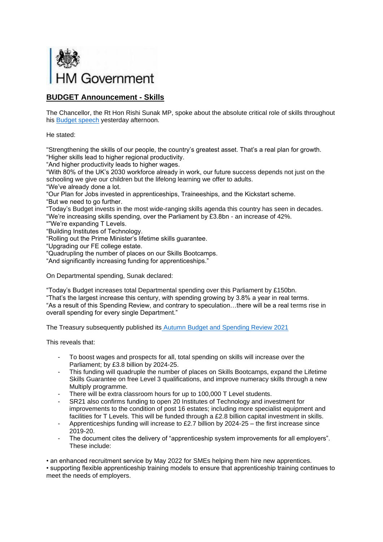

## **BUDGET Announcement - Skills**

The Chancellor, the Rt Hon Rishi Sunak MP, spoke about the absolute critical role of skills throughout his **Budget speech** yesterday afternoon.

He stated:

"Strengthening the skills of our people, the country's greatest asset. That's a real plan for growth. "Higher skills lead to higher regional productivity.

"And higher productivity leads to higher wages.

"With 80% of the UK's 2030 workforce already in work, our future success depends not just on the schooling we give our children but the lifelong learning we offer to adults.

"We've already done a lot.

"Our Plan for Jobs invested in apprenticeships, Traineeships, and the Kickstart scheme.

"But we need to go further.

"Today's Budget invests in the most wide-ranging skills agenda this country has seen in decades.

"We're increasing skills spending, over the Parliament by £3.8bn - an increase of 42%.

""We're expanding T Levels.

"Building Institutes of Technology.

"Rolling out the Prime Minister's lifetime skills guarantee.

"Upgrading our FE college estate.

"Quadrupling the number of places on our Skills Bootcamps.

"And significantly increasing funding for apprenticeships."

On Departmental spending, Sunak declared:

"Today's Budget increases total Departmental spending over this Parliament by £150bn.

"That's the largest increase this century, with spending growing by 3.8% a year in real terms. "As a result of this Spending Review, and contrary to speculation…there will be a real terms rise in overall spending for every single Department."

The Treasury subsequently published its [Autumn Budget and Spending Review 2021](https://assets.publishing.service.gov.uk/government/uploads/system/uploads/attachment_data/file/1028814/Budget_AB2021_Web_Accessible.pdf)

This reveals that:

- To boost wages and prospects for all, total spending on skills will increase over the Parliament; by £3.8 billion by 2024-25.
- This funding will quadruple the number of places on Skills Bootcamps, expand the Lifetime Skills Guarantee on free Level 3 qualifications, and improve numeracy skills through a new Multiply programme.
- There will be extra classroom hours for up to 100,000 T Level students.
- SR21 also confirms funding to open 20 Institutes of Technology and investment for improvements to the condition of post 16 estates; including more specialist equipment and facilities for T Levels. This will be funded through a £2.8 billion capital investment in skills.
- Apprenticeships funding will increase to £2.7 billion by  $2024-25$  the first increase since 2019-20.
- The document cites the delivery of "apprenticeship system improvements for all employers". These include:

• an enhanced recruitment service by May 2022 for SMEs helping them hire new apprentices.

• supporting flexible apprenticeship training models to ensure that apprenticeship training continues to meet the needs of employers.